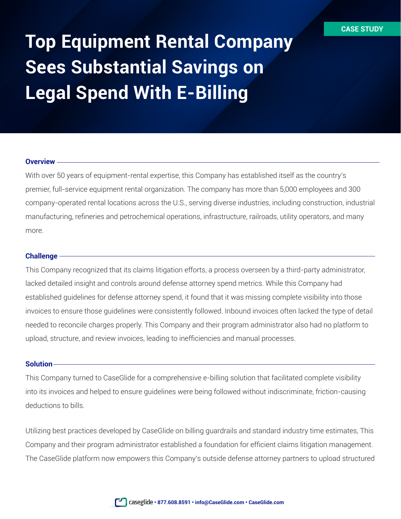# **Top Equipment Rental Company Sees Substantial Savings on Legal Spend With E-Billing**

## **Overview**

With over 50 years of equipment-rental expertise, this Company has established itself as the country's premier, full-service equipment rental organization. The company has more than 5,000 employees and 300 company-operated rental locations across the U.S., serving diverse industries, including construction, industrial manufacturing, refineries and petrochemical operations, infrastructure, railroads, utility operators, and many more.

## **Challenge**

This Company recognized that its claims litigation efforts, a process overseen by a third-party administrator, lacked detailed insight and controls around defense attorney spend metrics. While this Company had established guidelines for defense attorney spend, it found that it was missing complete visibility into those invoices to ensure those guidelines were consistently followed. Inbound invoices often lacked the type of detail needed to reconcile charges properly. This Company and their program administrator also had no platform to upload, structure, and review invoices, leading to inefficiencies and manual processes.

## **Solution**

This Company turned to CaseGlide for a comprehensive e-billing solution that facilitated complete visibility into its invoices and helped to ensure guidelines were being followed without indiscriminate, friction-causing deductions to bills.

Utilizing best practices developed by CaseGlide on billing guardrails and standard industry time estimates, This Company and their program administrator established a foundation for efficient claims litigation management. The CaseGlide platform now empowers this Company's outside defense attorney partners to upload structured